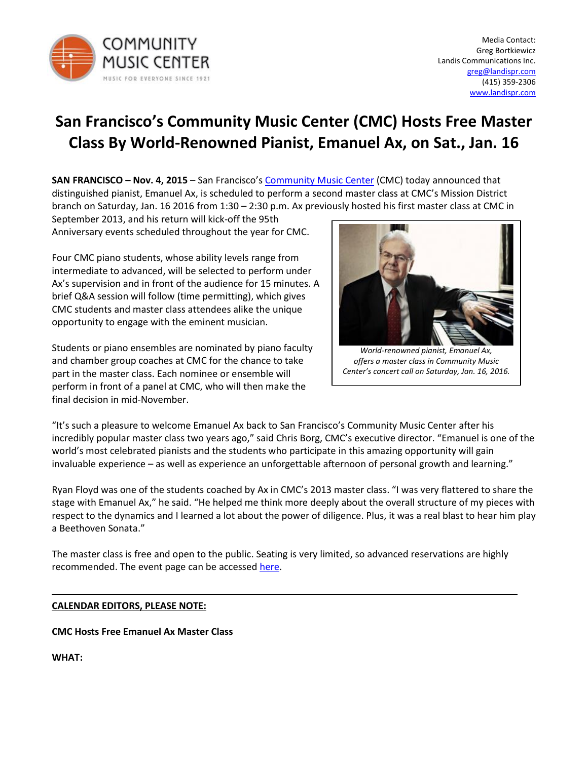

# **San Francisco's Community Music Center (CMC) Hosts Free Master Class By World-Renowned Pianist, Emanuel Ax, on Sat., Jan. 16**

**SAN FRANCISCO – Nov. 4, 2015** – San Francisco's [Community Music Center](http://www.sfcmc.org/) (CMC) today announced that distinguished pianist, Emanuel Ax, is scheduled to perform a second master class at CMC's Mission District branch on Saturday, Jan. 16 2016 from 1:30 – 2:30 p.m. Ax previously hosted his first master class at CMC in

September 2013, and his return will kick-off the 95th Anniversary events scheduled throughout the year for CMC.

Four CMC piano students, whose ability levels range from intermediate to advanced, will be selected to perform under Ax's supervision and in front of the audience for 15 minutes. A brief Q&A session will follow (time permitting), which gives CMC students and master class attendees alike the unique opportunity to engage with the eminent musician.

Students or piano ensembles are nominated by piano faculty and chamber group coaches at CMC for the chance to take part in the master class. Each nominee or ensemble will perform in front of a panel at CMC, who will then make the final decision in mid-November.



*World-renowned pianist, Emanuel Ax, offers a master class in Community Music Center's concert call on Saturday, Jan. 16, 2016.*

"It's such a pleasure to welcome Emanuel Ax back to San Francisco's Community Music Center after his incredibly popular master class two years ago," said Chris Borg, CMC's executive director. "Emanuel is one of the world's most celebrated pianists and the students who participate in this amazing opportunity will gain invaluable experience – as well as experience an unforgettable afternoon of personal growth and learning."

Ryan Floyd was one of the students coached by Ax in CMC's 2013 master class. "I was very flattered to share the stage with Emanuel Ax," he said. "He helped me think more deeply about the overall structure of my pieces with respect to the dynamics and I learned a lot about the power of diligence. Plus, it was a real blast to hear him play a Beethoven Sonata."

The master class is free and open to the public. Seating is very limited, so advanced reservations are highly recommended. The event page can be accessed [here.](http://www.eventbrite.com/e/emanuel-ax-master-class-tickets-18743725989)

## **CALENDAR EDITORS, PLEASE NOTE:**

## **CMC Hosts Free Emanuel Ax Master Class**

**WHAT:**